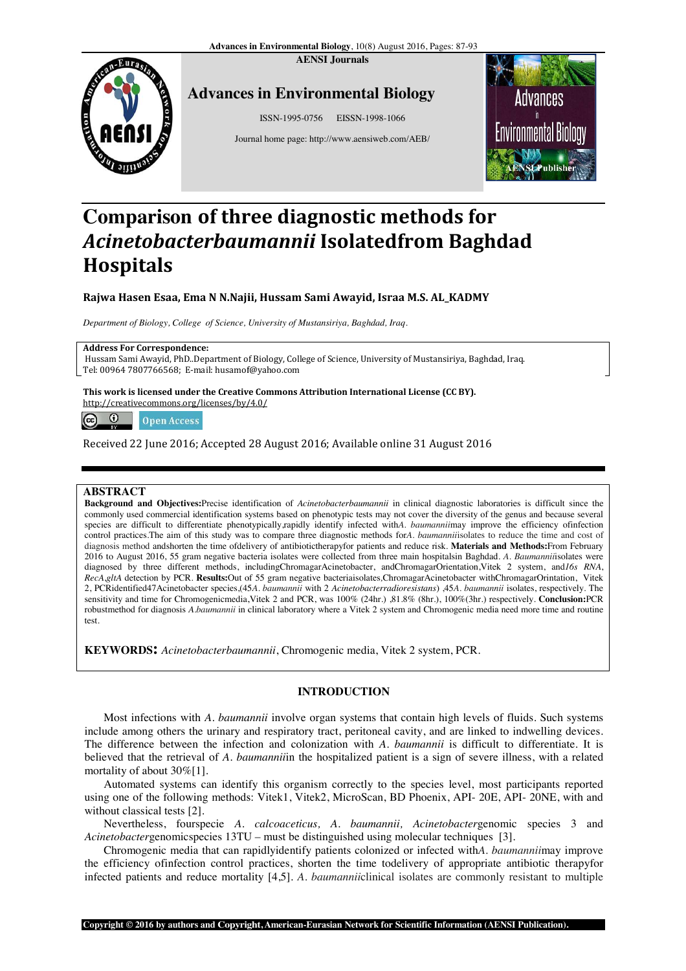**AENSI Journals**



## **Advances ces in Environmental Biology**

ISSN-1995-0756 EISSN-1998-1066

Journal home page: http://www.aensiweb.com/AEB/



# **Comparison of three diagnostic methods for**  *Acinetobacterbaumannii* **Isolatedfrom Baghdad from Hospitals**

## **Rajwa Hasen Esaa, Ema N N.Naji Najii, Hussam Sami Awayid, Israa M.S. AL\_KADMY**

 *Department of Biology, College of Science, University of Mustansiriya, Baghdad, Iraq.*

#### **Address For Correspondence:**

Hussam Sami Awayid, PhD..Department of Biology, College of Science, University of Mustansiriya, Baghdad, Iraq. Tel: 00964 7807766568; E-mail: husamof@yahoo.com *, University of Mustansiriya, Baghdad, Iraq.*<br>
of Biology, College of Science, University of Mustansiriya, Baghdad, Iraq.<br>
of Cyahoo.com<br>
ve Commons Attribution International License (CC BY).<br>
1 28 August 2016; Available

**This work is licensed under the Creative Commons Attribution International License (CC BY).**

http://creativecommons.org/licenses/by/4.0/

 $\Omega$  $(c)$ **Open Access** 

Received 22 June 2016; Accepted 28 August 2016; Available online 31 August 2016

## **ABSTRACT**

Background and Objectives:Precise identification of *Acinetobacterbaumannii* in clinical diagnostic laboratories is difficult since the commonly used commercial identification systems based on phenotypic tests may not cover the diversity of the genus and becaus because several species are difficult to differentiate phenotypically,rapidly identify infected with*A. baumannii*may improve the efficiency ofinfection control practices. The aim of this study was to compare three diagnostic methods for A. baumanniiisolates to reduce the time and cost of diagnosis method andshorten the time ofdelivery of antibiotictherapyfor patients and reduce risk. Materials and Methods:From February 2016 to August 2016, 55 gram negative bacteria isolates were collected from three main hospitalsin Baghdad. *A. Baumannii*isolates were diagnosed by three different methods, includingChromagarAcinetobacter, andChromagarOrientation,Vitek 2 system, and16s RNA, *RecA*,*gltA* detection by PCR. **Results:**Out of 55 gram negative bacteriaisolates *,*ChromagarAcinetobacter withChromagarOrintation, Vitek 2, PCRidentified47Acinetobacter species,(45A. baumannii with 2 Acinetobacterradioresistans) ,45A. baumannii isolates, respectively. The sensitivity and time for Chromogenicmedia,Vitek 2 and PCR, was 100% (24hr.) ,81.8% (8hr.), 100%(3hr.) respectively. **Conclusion:**PCR robustmethod for diagnosis *A.baumannii* in clinical laboratory where a Vitek 2 system and Chromogenic media need more time and routine test.

**KEYWORDS:** *Acinetobacterbaumannii* , Chromogenic media, Vitek 2 system, PCR.

## **INTRODUCTION**

Most infections with *A. baumannii* involve organ systems that contain high levels of fluids. Such systems include among others the urinary and respiratory tract, peritoneal cavity, and are linked to indwelling devices. The difference between the infection and colonization with *A. baumannii* is difficult to differentiate. It is believed that the retrieval of *A. baumannii* in the hospitalized patient is a sign of severe illness, with a related mortality of about 30%[1].

Automated systems can identify this organism correctly to the species level, most participants reported using one of the following methods: Vitek1, Vitek2, MicroScan, BD Phoenix, API- 20E, API- 20NE, with and without classical tests [2].

Nevertheless, fourspecie *A. calcoaceticus, A. baumannii, Acinetobacter* genomic species 3 and Acinetobactergenomicspecies 13TU – must be distinguished using molecular techniques [3].

Chromogenic media that can rapidlyidentify patients colonized or infected with *A. baumannii* may improve the efficiency ofinfection control practices, shorten the time todelivery of appropriate antibiotic therapyfor infected patients and reduce mortality [4,5]. *A. baumannii*clinical isolates are commonly resistant to multiple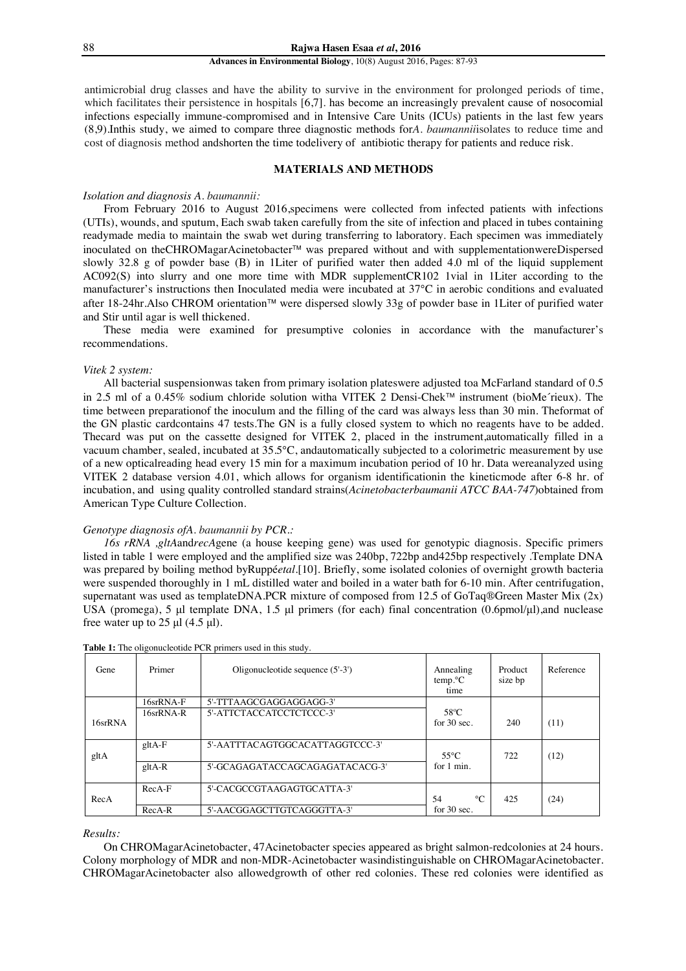antimicrobial drug classes and have the ability to survive in the environment for prolonged periods of time, which facilitates their persistence in hospitals [6,7]. has become an increasingly prevalent cause of nosocomial infections especially immune-compromised and in Intensive Care Units (ICUs) patients in the last few years (8,9).Inthis study, we aimed to compare three diagnostic methods for*A. baumannii*isolates to reduce time and cost of diagnosis method andshorten the time todelivery of antibiotic therapy for patients and reduce risk.

## **MATERIALS AND METHODS**

#### *Isolation and diagnosis A. baumannii:*

From February 2016 to August 2016,specimens were collected from infected patients with infections (UTIs), wounds, and sputum, Each swab taken carefully from the site of infection and placed in tubes containing readymade media to maintain the swab wet during transferring to laboratory. Each specimen was immediately inoculated on theCHROMagarAcinetobacter<sup>™</sup> was prepared without and with supplementationwereDispersed slowly 32.8 g of powder base (B) in 1Liter of purified water then added 4.0 ml of the liquid supplement AC092(S) into slurry and one more time with MDR supplementCR102 1vial in 1Liter according to the manufacturer's instructions then Inoculated media were incubated at 37°C in aerobic conditions and evaluated after 18-24hr.Also CHROM orientation™ were dispersed slowly 33g of powder base in 1Liter of purified water and Stir until agar is well thickened.

These media were examined for presumptive colonies in accordance with the manufacturer's recommendations.

#### *Vitek 2 system:*

All bacterial suspensionwas taken from primary isolation plateswere adjusted toa McFarland standard of 0.5 in 2.5 ml of a 0.45% sodium chloride solution witha VITEK 2 Densi-Chek™ instrument (bioMe´rieux). The time between preparationof the inoculum and the filling of the card was always less than 30 min. Theformat of the GN plastic cardcontains 47 tests.The GN is a fully closed system to which no reagents have to be added. Thecard was put on the cassette designed for VITEK 2, placed in the instrument,automatically filled in a vacuum chamber, sealed, incubated at 35.5°C, andautomatically subjected to a colorimetric measurement by use of a new opticalreading head every 15 min for a maximum incubation period of 10 hr. Data wereanalyzed using VITEK 2 database version 4.01, which allows for organism identificationin the kineticmode after 6-8 hr. of incubation, and using quality controlled standard strains(*Acinetobacterbaumanii ATCC BAA-747*)obtained from American Type Culture Collection.

#### *Genotype diagnosis ofA. baumannii by PCR.:*

*16s rRNA ,gltA*and*recA*gene (a house keeping gene) was used for genotypic diagnosis. Specific primers listed in table 1 were employed and the amplified size was 240bp, 722bp and425bp respectively .Template DNA was prepared by boiling method byRuppé*etal*.[10]. Briefly, some isolated colonies of overnight growth bacteria were suspended thoroughly in 1 mL distilled water and boiled in a water bath for 6-10 min. After centrifugation, supernatant was used as templateDNA.PCR mixture of composed from 12.5 of GoTaq®Green Master Mix (2x) USA (promega), 5 μl template DNA, 1.5 μl primers (for each) final concentration (0.6pmol/μl),and nuclease free water up to  $25 \mu$ l (4.5  $\mu$ l).

| Gene    | Primer       | Oligonucleotide sequence $(5'-3')$ | Annealing<br>$temp.$ <sup>o</sup> $C$<br>time | Product<br>size bp | Reference |
|---------|--------------|------------------------------------|-----------------------------------------------|--------------------|-----------|
|         | $16srRNA-F$  | 5'-TTTAAGCGAGGAGGAGG-3'            |                                               |                    |           |
| 16srRNA | $16srRNA-R$  | 5'-ATTCTACCATCCTCTCCC-3'           | $58^{\circ}$ C<br>for $30 \text{ sec}$ .      | 240                | (11)      |
| gltA    | $g$ ltA-F    | 5'-AATTTACAGTGGCACATTAGGTCCC-3'    | $55^{\circ}$ C                                | 722                | (12)      |
|         | $g$ lt $A-R$ | 5'-GCAGAGATACCAGCAGAGATACACG-3'    | for 1 min.                                    |                    |           |
| RecA    | $RecA-F$     | 5'-CACGCCGTAAGAGTGCATTA-3'         | $\circ$ C<br>54                               | 425                | (24)      |
|         | $RecA-R$     | 5'-AACGGAGCTTGTCAGGGTTA-3'         | for $30 \text{ sec}$ .                        |                    |           |

**Table 1:** The oligonucleotide PCR primers used in this study.

#### *Results:*

On CHROMagarAcinetobacter, 47Acinetobacter species appeared as bright salmon-redcolonies at 24 hours. Colony morphology of MDR and non-MDR-Acinetobacter wasindistinguishable on CHROMagarAcinetobacter. CHROMagarAcinetobacter also allowedgrowth of other red colonies. These red colonies were identified as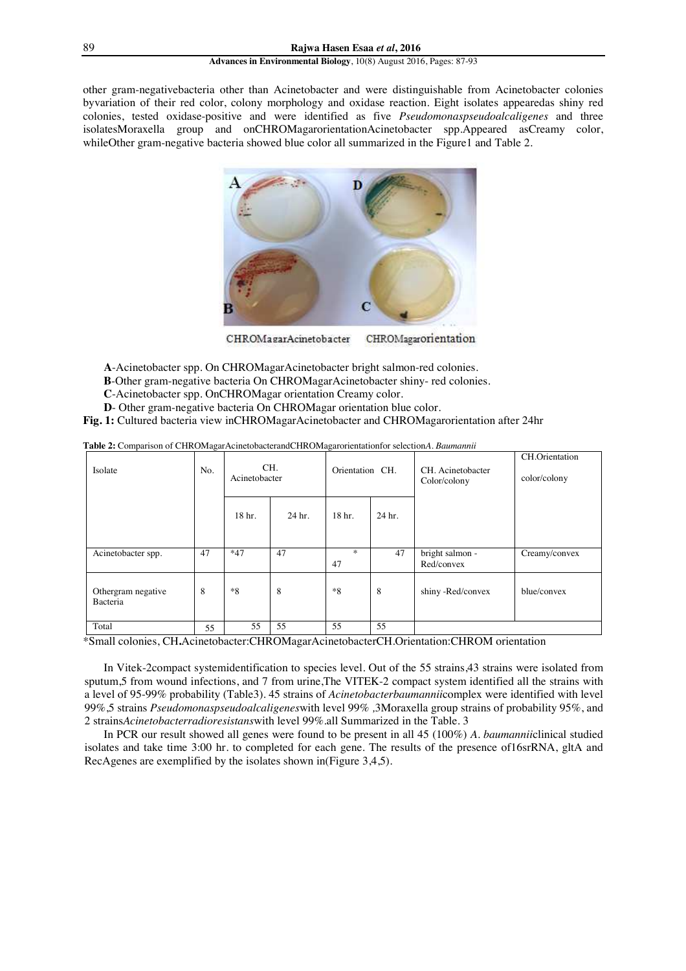other gram-negativebacteria other than Acinetobacter and were distinguishable from Acinetobacter colonies byvariation of their red color, colony morphology and oxidase reaction. Eight isolates appearedas shiny red colonies, tested oxidase-positive and were identified as five *Pseudomonaspseudoalcaligenes* and three isolatesMoraxella group and onCHROMagarorientationAcinetobacter spp.Appeared asCreamy color, whileOther gram-negative bacteria showed blue color all summarized in the Figure1 and Table 2.



CHROMagarorientation CHROMagarAcinetobacter

- **A**-Acinetobacter spp. On CHROMagarAcinetobacter bright salmon-red colonies.
- **B**-Other gram-negative bacteria On CHROMagarAcinetobacter shiny- red colonies.
- **C**-Acinetobacter spp. OnCHROMagar orientation Creamy color.
- **D** Other gram-negative bacteria On CHROMagar orientation blue color.
- **Fig. 1:** Cultured bacteria view inCHROMagarAcinetobacter and CHROMagarorientation after 24hr

| Isolate                        | No. | Acinetobacter | CH.    | Orientation CH. |        |                               |               |  |  | CH. Acinetobacter<br>Color/colony | CH.Orientation<br>color/colony |
|--------------------------------|-----|---------------|--------|-----------------|--------|-------------------------------|---------------|--|--|-----------------------------------|--------------------------------|
|                                |     | 18 hr.        | 24 hr. | 18 hr.          | 24 hr. |                               |               |  |  |                                   |                                |
| Acinetobacter spp.             | 47  | $*47$         | 47     | $*$<br>47       | 47     | bright salmon -<br>Red/convex | Creamy/convex |  |  |                                   |                                |
| Othergram negative<br>Bacteria | 8   | $*8$          | 8      | $*8$            | 8      | shiny -Red/convex             | blue/convex   |  |  |                                   |                                |
| Total                          | 55  | 55            | 55     | 55              | 55     |                               |               |  |  |                                   |                                |

**Table 2:** Comparison of CHROMagarAcinetobacterandCHROMagarorientationfor selection*A. Baumannii* 

\*Small colonies, CH**.**Acinetobacter:CHROMagarAcinetobacterCH.Orientation:CHROM orientation

In Vitek-2compact systemidentification to species level. Out of the 55 strains,43 strains were isolated from sputum,5 from wound infections, and 7 from urine,The VITEK-2 compact system identified all the strains with a level of 95-99% probability (Table3). 45 strains of *Acinetobacterbaumannii*complex were identified with level 99%,5 strains *Pseudomonaspseudoalcaligenes*with level 99% *,*3Moraxella group strains of probability 95%, and 2 strains*Acinetobacterradioresistans*with level 99%*.*all Summarized in the Table. 3

In PCR our result showed all genes were found to be present in all 45 (100%) *A. baumannii*clinical studied isolates and take time 3:00 hr. to completed for each gene. The results of the presence of16srRNA, gltA and RecAgenes are exemplified by the isolates shown in(Figure 3,4,5).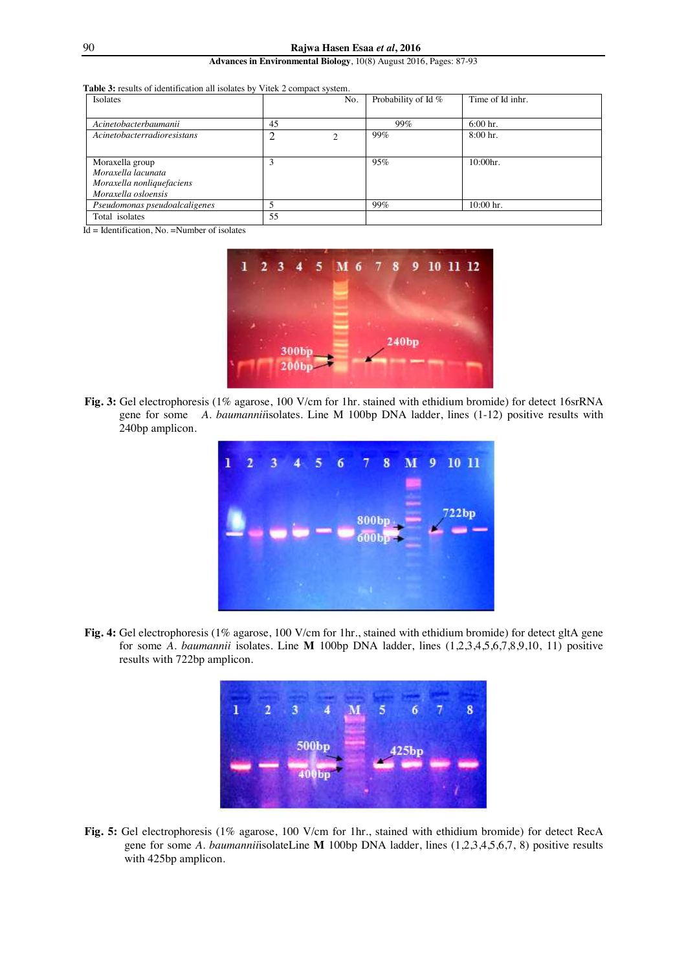| <b>Table 3:</b> results of identification all isolates by Vitek 2 compact system. |  |  |
|-----------------------------------------------------------------------------------|--|--|
|                                                                                   |  |  |

| Isolates                      |    | No. | Probability of Id % | Time of Id inhr. |
|-------------------------------|----|-----|---------------------|------------------|
|                               |    |     |                     |                  |
| Acinetobacterbaumanii         | 45 |     | 99%                 | $6:00$ hr.       |
| Acinetobacterradioresistans   |    | ↑   | 99%                 | $8:00$ hr.       |
|                               |    |     |                     |                  |
| Moraxella group               |    |     | 95%                 | 10:00hr.         |
| Moraxella lacunata            |    |     |                     |                  |
| Moraxella nonliquefaciens     |    |     |                     |                  |
| Moraxella osloensis           |    |     |                     |                  |
| Pseudomonas pseudoalcaligenes |    |     | 99%                 | $10:00$ hr.      |
| Total isolates                | 55 |     |                     |                  |
|                               |    |     |                     |                  |

Id = Identification, No. =Number of isolates



**Fig. 3:** Gel electrophoresis (1% agarose, 100 V/cm for 1hr. stained with ethidium bromide) for detect 16srRNA gene for some *A. baumannii*isolates. Line M 100bp DNA ladder, lines (1-12) positive results with 240bp amplicon.



**Fig. 4:** Gel electrophoresis (1% agarose, 100 V/cm for 1hr., stained with ethidium bromide) for detect gltA gene for some *A. baumannii* isolates. Line **M** 100bp DNA ladder, lines (1,2,3,4,5,6,7,8,9,10, 11) positive results with 722bp amplicon.



**Fig. 5:** Gel electrophoresis (1% agarose, 100 V/cm for 1hr., stained with ethidium bromide) for detect RecA gene for some *A. baumannii*isolateLine **M** 100bp DNA ladder, lines (1,2,3,4,5,6,7, 8) positive results with 425bp amplicon.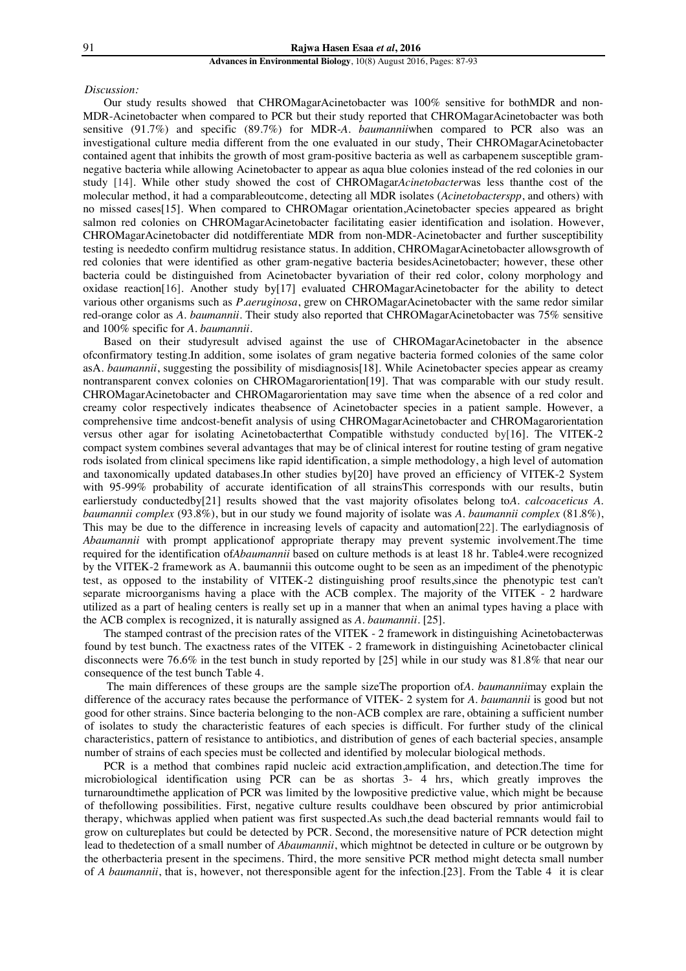#### *Discussion:*

Our study results showed that CHROMagarAcinetobacter was 100% sensitive for bothMDR and non-MDR-Acinetobacter when compared to PCR but their study reported that CHROMagarAcinetobacter was both sensitive (91.7%) and specific (89.7%) for MDR-*A. baumannii*when compared to PCR also was an investigational culture media different from the one evaluated in our study, Their CHROMagarAcinetobacter contained agent that inhibits the growth of most gram-positive bacteria as well as carbapenem susceptible gramnegative bacteria while allowing Acinetobacter to appear as aqua blue colonies instead of the red colonies in our study [14]. While other study showed the cost of CHROMagar*Acinetobacter*was less thanthe cost of the molecular method, it had a comparableoutcome, detecting all MDR isolates (*Acinetobacterspp*, and others) with no missed cases[15]. When compared to CHROMagar orientation,Acinetobacter species appeared as bright salmon red colonies on CHROMagarAcinetobacter facilitating easier identification and isolation. However, CHROMagarAcinetobacter did notdifferentiate MDR from non-MDR-Acinetobacter and further susceptibility testing is neededto confirm multidrug resistance status. In addition, CHROMagarAcinetobacter allowsgrowth of red colonies that were identified as other gram-negative bacteria besidesAcinetobacter; however, these other bacteria could be distinguished from Acinetobacter byvariation of their red color, colony morphology and oxidase reaction[16]. Another study by[17] evaluated CHROMagarAcinetobacter for the ability to detect various other organisms such as *P.aeruginosa*, grew on CHROMagarAcinetobacter with the same redor similar red-orange color as *A. baumannii*. Their study also reported that CHROMagarAcinetobacter was 75% sensitive and 100% specific for *A. baumannii*.

Based on their studyresult advised against the use of CHROMagarAcinetobacter in the absence ofconfirmatory testing.In addition, some isolates of gram negative bacteria formed colonies of the same color asA*. baumannii*, suggesting the possibility of misdiagnosis[18]. While Acinetobacter species appear as creamy nontransparent convex colonies on CHROMagarorientation[19]. That was comparable with our study result. CHROMagarAcinetobacter and CHROMagarorientation may save time when the absence of a red color and creamy color respectively indicates theabsence of Acinetobacter species in a patient sample. However, a comprehensive time andcost-benefit analysis of using CHROMagarAcinetobacter and CHROMagarorientation versus other agar for isolating Acinetobacterthat Compatible withstudy conducted by[16]. The VITEK-2 compact system combines several advantages that may be of clinical interest for routine testing of gram negative rods isolated from clinical specimens like rapid identification, a simple methodology, a high level of automation and taxonomically updated databases.In other studies by[20] have proved an efficiency of VITEK-2 System with 95-99% probability of accurate identification of all strainsThis corresponds with our results, butin earlierstudy conductedby<sup>[21]</sup> results showed that the vast majority ofisolates belong to*A. calcoaceticus A. baumannii complex* (93.8%), but in our study we found majority of isolate was *A. baumannii complex* (81.8%), This may be due to the difference in increasing levels of capacity and automation[22]..The earlydiagnosis of *Abaumannii* with prompt applicationof appropriate therapy may prevent systemic involvement.The time required for the identification of*Abaumannii* based on culture methods is at least 18 hr. Table4.were recognized by the VITEK-2 framework as A. baumannii this outcome ought to be seen as an impediment of the phenotypic test, as opposed to the instability of VITEK-2 distinguishing proof results,since the phenotypic test can't separate microorganisms having a place with the ACB complex. The majority of the VITEK - 2 hardware utilized as a part of healing centers is really set up in a manner that when an animal types having a place with the ACB complex is recognized, it is naturally assigned as *A. baumannii*. [25].

The stamped contrast of the precision rates of the VITEK - 2 framework in distinguishing Acinetobacterwas found by test bunch. The exactness rates of the VITEK - 2 framework in distinguishing Acinetobacter clinical disconnects were 76.6% in the test bunch in study reported by [25] while in our study was 81.8% that near our consequence of the test bunch Table 4.

 The main differences of these groups are the sample sizeThe proportion of*A. baumannii*may explain the difference of the accuracy rates because the performance of VITEK- 2 system for *A. baumannii* is good but not good for other strains. Since bacteria belonging to the non-ACB complex are rare, obtaining a sufficient number of isolates to study the characteristic features of each species is difficult. For further study of the clinical characteristics, pattern of resistance to antibiotics, and distribution of genes of each bacterial species, ansample number of strains of each species must be collected and identified by molecular biological methods.

PCR is a method that combines rapid nucleic acid extraction,amplification, and detection.The time for microbiological identification using PCR can be as shortas 3- 4 hrs, which greatly improves the turnaroundtimethe application of PCR was limited by the lowpositive predictive value, which might be because of thefollowing possibilities. First, negative culture results couldhave been obscured by prior antimicrobial therapy, whichwas applied when patient was first suspected.As such,the dead bacterial remnants would fail to grow on cultureplates but could be detected by PCR. Second, the moresensitive nature of PCR detection might lead to thedetection of a small number of *Abaumannii*, which mightnot be detected in culture or be outgrown by the otherbacteria present in the specimens. Third, the more sensitive PCR method might detecta small number of *A baumannii*, that is, however, not theresponsible agent for the infection.[23]. From the Table 4 it is clear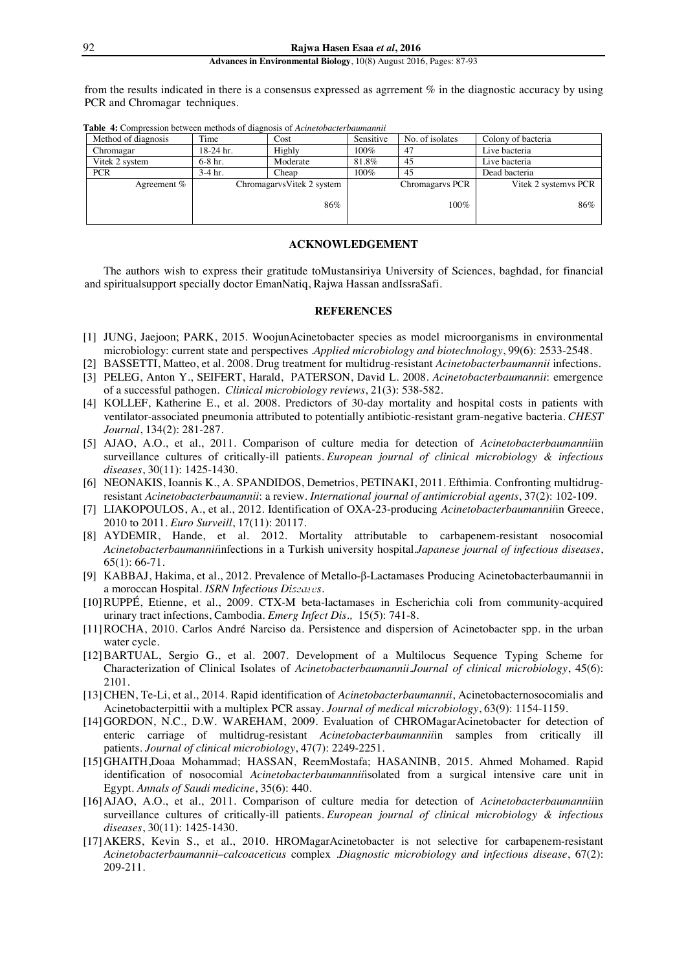from the results indicated in there is a consensus expressed as agrrement % in the diagnostic accuracy by using PCR and Chromagar techniques.

| Method of diagnosis | Time        | Cost                       | Sensitive | No. of isolates | Colony of bacteria   |
|---------------------|-------------|----------------------------|-----------|-----------------|----------------------|
| Chromagar           | $18-24$ hr. | Highly                     | 100%      | 47              | Live bacteria        |
| Vitek 2 system      | $6-8$ hr.   | Moderate                   | 81.8%     | 45              | Live bacteria        |
| <b>PCR</b>          | $3-4$ hr.   | Cheap                      | 100%      | 45              | Dead bacteria        |
| Agreement $%$       |             | Chromagarys Vitek 2 system |           | Chromagarys PCR | Vitek 2 systemvs PCR |
|                     |             | 86%                        |           | $100\%$         | 86%                  |

**Table 4:** Compression between methods of diagnosis of *Acinetobacterbaumannii*

## **ACKNOWLEDGEMENT**

The authors wish to express their gratitude toMustansiriya University of Sciences, baghdad, for financial and spiritualsupport specially doctor EmanNatiq, Rajwa Hassan andIssraSafi.

## **REFERENCES**

- [1] JUNG, Jaejoon; PARK, 2015. WoojunAcinetobacter species as model microorganisms in environmental microbiology: current state and perspectives .*Applied microbiology and biotechnology*, 99(6): 2533-2548.
- [2] BASSETTI, Matteo, et al. 2008. Drug treatment for multidrug-resistant *Acinetobacterbaumannii* infections.
- [3] PELEG, Anton Y., SEIFERT, Harald, PATERSON, David L. 2008. *Acinetobacterbaumannii*: emergence of a successful pathogen. *Clinical microbiology reviews*, 21(3): 538-582.
- [4] KOLLEF, Katherine E., et al. 2008. Predictors of 30-day mortality and hospital costs in patients with ventilator-associated pneumonia attributed to potentially antibiotic-resistant gram-negative bacteria. *CHEST Journal*, 134(2): 281-287.
- [5] AJAO, A.O., et al., 2011. Comparison of culture media for detection of *Acinetobacterbaumannii*in surveillance cultures of critically-ill patients. *European journal of clinical microbiology & infectious diseases*, 30(11): 1425-1430.
- [6] NEONAKIS, Ioannis K., A. SPANDIDOS, Demetrios, PETINAKI, 2011. Efthimia. Confronting multidrugresistant *Acinetobacterbaumannii*: a review. *International journal of antimicrobial agents*, 37(2): 102-109.
- [7] LIAKOPOULOS, A., et al., 2012. Identification of OXA-23-producing *Acinetobacterbaumannii*in Greece, 2010 to 2011. *Euro Surveill*, 17(11): 20117.
- [8] AYDEMIR, Hande, et al. 2012. Mortality attributable to carbapenem-resistant nosocomial *Acinetobacterbaumannii*infections in a Turkish university hospital.*Japanese journal of infectious diseases*, 65(1): 66-71.
- [9] KABBAJ, Hakima, et al., 2012. Prevalence of Metallo-β-Lactamases Producing Acinetobacterbaumannii in a moroccan Hospital. *ISRN Infectious Diseases*.
- [10]RUPPÉ, Etienne, et al., 2009. CTX-M beta-lactamases in Escherichia coli from community-acquired urinary tract infections, Cambodia. *Emerg Infect Dis.,* 15(5): 741-8.
- [11]ROCHA, 2010. Carlos André Narciso da. Persistence and dispersion of Acinetobacter spp. in the urban water cycle.
- [12]BARTUAL, Sergio G., et al. 2007. Development of a Multilocus Sequence Typing Scheme for Characterization of Clinical Isolates of *Acinetobacterbaumannii*.*Journal of clinical microbiology*, 45(6): 2101.
- [13]CHEN, Te-Li, et al., 2014. Rapid identification of *Acinetobacterbaumannii*, Acinetobacternosocomialis and Acinetobacterpittii with a multiplex PCR assay. *Journal of medical microbiology*, 63(9): 1154-1159.
- [14]GORDON, N.C., D.W. WAREHAM, 2009. Evaluation of CHROMagarAcinetobacter for detection of enteric carriage of multidrug-resistant *Acinetobacterbaumannii*in samples from critically ill patients. *Journal of clinical microbiology*, 47(7): 2249-2251.
- [15]GHAITH,Doaa Mohammad; HASSAN, ReemMostafa; HASANINB, 2015. Ahmed Mohamed. Rapid identification of nosocomial *Acinetobacterbaumannii*isolated from a surgical intensive care unit in Egypt. *Annals of Saudi medicine*, 35(6): 440.
- [16] AJAO, A.O., et al., 2011. Comparison of culture media for detection of *Acinetobacterbaumannii*in surveillance cultures of critically-ill patients. *European journal of clinical microbiology & infectious diseases*, 30(11): 1425-1430.
- [17]AKERS, Kevin S., et al., 2010. HROMagarAcinetobacter is not selective for carbapenem-resistant *Acinetobacterbaumannii*–*calcoaceticus* complex .*Diagnostic microbiology and infectious disease*, 67(2): 209-211. **1 2 3 4 M 5 6 7 8**